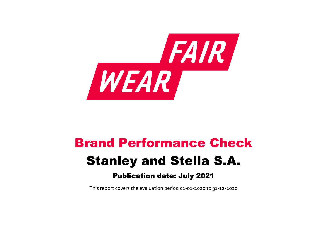

# Brand Performance Check Stanley and Stella S.A. Publication date: July 2021

This report covers the evaluation period 01‐01‐2020 to 31‐12‐2020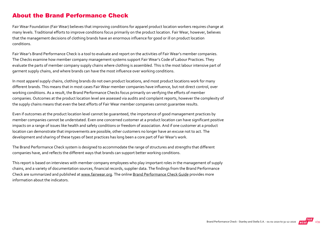#### About the Brand Performance Check

Fair Wear Foundation (Fair Wear) believes that improving conditions for apparel product location workers requires change at many levels. Traditional efforts to improve conditions focus primarily on the product location. Fair Wear, however, believes that the management decisions of clothing brands have an enormous influence for good or ill on product location conditions.

Fair Wear's Brand Performance Check is a tool to evaluate and report on the activities of Fair Wear's member companies. The Checks examine how member company management systems support Fair Wear's Code of Labour Practices. They evaluate the parts of member company supply chains where clothing is assembled. This is the most labour intensive part of garment supply chains, and where brands can have the most influence over working conditions.

In most apparel supply chains, clothing brands do not own product locations, and most product locations work for many different brands. This means that in most cases Fair Wear member companies have influence, but not direct control, over working conditions. As a result, the Brand Performance Checks focus primarily on verifying the efforts of member companies. Outcomes at the product location level are assessed via audits and complaint reports, however the complexity of the supply chains means that even the best efforts of Fair Wear member companies cannot guarantee results.

Even if outcomes at the product location level cannot be guaranteed, the importance of good management practices by member companies cannot be understated. Even one concerned customer at a product location can have significant positive impacts on a range of issues like health and safety conditions or freedom of association. And if one customer at a product location can demonstrate that improvements are possible, other customers no longer have an excuse not to act. The development and sharing of these types of best practices has long been a core part of Fair Wear's work.

The Brand Performance Check system is designed to accommodate the range of structures and strengths that different companies have, and reflects the different ways that brands can support better working conditions.

This report is based on interviews with member company employees who play important roles in the management of supply chains, and a variety of documentation sources, financial records, supplier data. The findings from the Brand Performance Check are summarized and published at [www.fairwear.org](http://www.fairwear.org/). The online [Brand Performance Check Guide](https://api.fairwear.org/wp-content/uploads/2020/03/FWF_BrandPerformanceCheckGuide-DEF.pdf) provides more information about the indicators.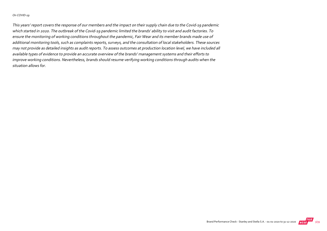#### On COVID‐19

This years' report covers the response of our members and the impact on their supply chain due to the Covid‐19 pandemic which started in 2020. The outbreak of the Covid‐19 pandemic limited the brands' ability to visit and audit factories. To ensure the monitoring of working conditions throughout the pandemic, Fair Wear and its member brands made use of additional monitoring tools, such as complaints reports, surveys, and the consultation of local stakeholders. These sources may not provide as detailed insights as audit reports. To assess outcomes at production location level, we have included all available types of evidence to provide an accurate overview of the brands' management systems and their efforts to improve working conditions. Nevertheless, brands should resume verifying working conditions through audits when the situation allows for.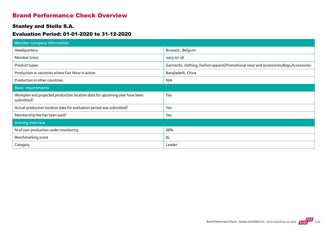#### Brand Performance Check Overview

#### Stanley and Stella S.A.

#### Evaluation Period: 01-01-2020 to 31-12-2020

| Member company information                                                                |                                                                                          |
|-------------------------------------------------------------------------------------------|------------------------------------------------------------------------------------------|
| Headquarters:                                                                             | Brussels, Belgium                                                                        |
| Member since:                                                                             | 2013-07-18                                                                               |
| Product types:                                                                            | Garments, clothing, fashion apparel; Promotional wear and accessories; Bags; Accessories |
| Production in countries where Fair Wear is active:                                        | Bangladesh, China                                                                        |
| Production in other countries:                                                            | N/A                                                                                      |
| <b>Basic requirements</b>                                                                 |                                                                                          |
| Workplan and projected production location data for upcoming year have been<br>submitted? | Yes                                                                                      |
| Actual production location data for evaluation period was submitted?                      | Yes                                                                                      |
| Membership fee has been paid?                                                             | Yes                                                                                      |
| <b>Scoring overview</b>                                                                   |                                                                                          |
| % of own production under monitoring                                                      | 66%                                                                                      |
| Benchmarking score                                                                        | 8 <sub>1</sub>                                                                           |
| Category                                                                                  | Leader                                                                                   |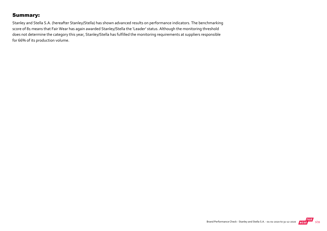#### Summary:

Stanley and Stella S.A. (hereafter Stanley/Stella) has shown advanced results on performance indicators. The benchmarking score of 81 means that Fair Wear has again awarded Stanley/Stella the 'Leader' status. Although the monitoring threshold does not determine the category this year, Stanley/Stella has fulfilled the monitoring requirements at suppliers responsible for 66% of its production volume.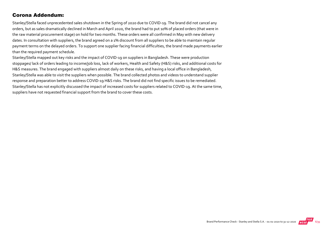#### Corona Addendum:

Stanley/Stella faced unprecedented sales shutdown in the Spring of 2020 due to COVID‐19. The brand did not cancel any orders, but as sales dramatically declined in March and April 2020, the brand had to put 10% of placed orders (that were in the raw material procurement stage) on hold for two months. These orders were all confirmed in May with new delivery dates. In consultation with suppliers, the brand agreed on a 1% discount from all suppliers to be able to maintain regular payment terms on the delayed orders. To support one supplier facing financial difficulties, the brand made payments earlier than the required payment schedule.

Stanley/Stella mapped out key risks and the impact of COVID‐19 on suppliers in Bangladesh. These were production stoppages/ lack of orders leading to income/job loss, lack of workers, Health and Safety (H&S) risks, and additional costs for H&S measures. The brand engaged with suppliers almost daily on these risks, and having a local office in Bangladesh, Stanley/Stella was able to visit the suppliers when possible. The brand collected photos and videos to understand supplier response and preparation better to address COVID‐19 H&S risks. The brand did not find specific issues to be remediated. Stanley/Stella has not explicitly discussed the impact of increased costs for suppliers related to COVID‐19. At the same time, suppliers have not requested financial support from the brand to cover these costs.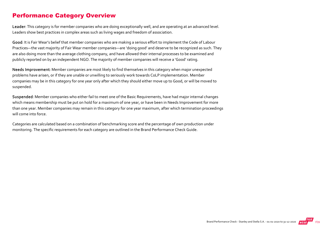#### Performance Category Overview

Leader: This category is for member companies who are doing exceptionally well, and are operating at an advanced level. Leaders show best practices in complex areas such as living wages and freedom of association.

Good: It is Fair Wear's belief that member companies who are making a serious effort to implement the Code of Labour Practices—the vast majority of Fair Wear member companies—are 'doing good' and deserve to be recognized as such. They are also doing more than the average clothing company, and have allowed their internal processes to be examined and publicly reported on by an independent NGO. The majority of member companies will receive a 'Good' rating.

Needs Improvement: Member companies are most likely to find themselves in this category when major unexpected problems have arisen, or if they are unable or unwilling to seriously work towards CoLP implementation. Member companies may be in this category for one year only after which they should either move up to Good, or will be moved to suspended.

Suspended: Member companies who either fail to meet one of the Basic Requirements, have had major internal changes which means membership must be put on hold for a maximum of one year, or have been in Needs Improvement for more than one year. Member companies may remain in this category for one year maximum, after which termination proceedings will come into force.

Categories are calculated based on a combination of benchmarking score and the percentage of own production under monitoring. The specific requirements for each category are outlined in the Brand Performance Check Guide.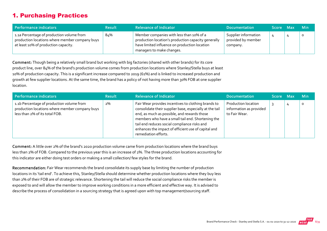#### 1. Purchasing Practices

| Performance indicators                                                                                                              | <b>Result</b> | <b>Relevance of Indicator</b>                                                                                                                                                 | <b>Documentation</b>                                   | Score Max | <b>Min</b> |
|-------------------------------------------------------------------------------------------------------------------------------------|---------------|-------------------------------------------------------------------------------------------------------------------------------------------------------------------------------|--------------------------------------------------------|-----------|------------|
| 1.1a Percentage of production volume from<br>production locations where member company buys<br>at least 10% of production capacity. | 84%           | Member companies with less than 10% of a<br>production location's production capacity generally<br>have limited influence on production location<br>managers to make changes. | Supplier information<br>provided by member<br>company. |           | $\circ$    |

Comment: Though being a relatively small brand but working with big factories (shared with other brands) for its core product line, over 84% of the brand's production volume comes from production locations where Stanley/Stella buys at least 10% of production capacity. This is a significant increase compared to 2019 (61%) and is linked to increased production and growth at few supplier locations. At the same time, the brand has a policy of not having more than 30% FOB at one supplier location.

| Performance indicators                                                                                                        | <b>Result</b> | <b>Relevance of Indicator</b>                                                                                                                                                                                                                                                                                                                     | <b>Documentation</b>                                                   | Score Max | <b>Min</b> |
|-------------------------------------------------------------------------------------------------------------------------------|---------------|---------------------------------------------------------------------------------------------------------------------------------------------------------------------------------------------------------------------------------------------------------------------------------------------------------------------------------------------------|------------------------------------------------------------------------|-----------|------------|
| 1.1b Percentage of production volume from<br>production locations where member company buys<br>less than 2% of its total FOB. | 2%            | Fair Wear provides incentives to clothing brands to<br>consolidate their supplier base, especially at the tail<br>end, as much as possible, and rewards those<br>members who have a small tail end. Shortening the<br>tail end reduces social compliance risks and<br>enhances the impact of efficient use of capital and<br>remediation efforts. | <b>Production location</b><br>information as provided<br>to Fair Wear. |           |            |

Comment: A little over 2% of the brand's 2020 production volume came from production locations where the brand buys less than 2% of FOB. Compared to the previous year this is an increase of 2%. The three production locations accounting for this indicator are either doing test orders or making a small collection/ few styles for the brand.

Recommendation: Fair Wear recommends the brand consolidate its supply base by limiting the number of production locations in its 'tail end'. To achieve this, Stanley/Stella should determine whether production locations where they buy less than 2% of their FOB are of strategic relevance. Shortening the tail will reduce the social compliance risks the member is exposed to and will allow the member to improve working conditions in a more efficient and effective way. It is advised to describe the process of consolidation in a sourcing strategy that is agreed upon with top management/sourcing staff.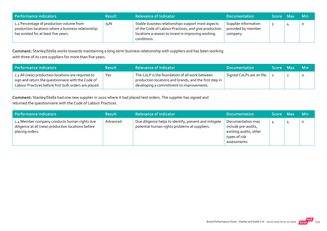| Performance indicators                                                                                                                 | <b>Result</b> | <b>Relevance of Indicator</b>                                                                                                                                                  | <b>Documentation</b>                                   | Score Max | <b>Min</b> |
|----------------------------------------------------------------------------------------------------------------------------------------|---------------|--------------------------------------------------------------------------------------------------------------------------------------------------------------------------------|--------------------------------------------------------|-----------|------------|
| 1.2 Percentage of production volume from<br>production locations where a business relationship<br>has existed for at least five years. | 74%           | Stable business relationships support most aspects<br>of the Code of Labour Practices, and give production<br>locations a reason to invest in improving working<br>conditions. | Supplier information<br>provided by member<br>company. |           | $\Omega$   |

Comment: Stanley/Stella works towards maintaining a long-term business relationship with suppliers and has been working with three of its core suppliers for more than five years.

| Performance indicators                                                                                                                                            | <b>Result</b> | <b>Relevance of Indicator</b>                                                                                                                        | <b>Documentation</b>      | Score Max | - Min |
|-------------------------------------------------------------------------------------------------------------------------------------------------------------------|---------------|------------------------------------------------------------------------------------------------------------------------------------------------------|---------------------------|-----------|-------|
| 1.3 All (new) production locations are required to<br>sign and return the questionnaire with the Code of<br>Labour Practices before first bulk orders are placed. | Yes           | The CoLP is the foundation of all work between<br>production locations and brands, and the first step in<br>developing a commitment to improvements. | Signed CoLPs are on file. |           |       |

Comment: Stanley/Stella had one new supplier in 2020 where it had placed test orders. The supplier has signed and returned the questionnaire with the Code of Labour Practices.

| Performance indicators                                                                                                | <b>Result</b> | <b>Relevance of Indicator</b>                                                                          | <b>Documentation</b>                                                                                | Score Max | <b>Min</b> |
|-----------------------------------------------------------------------------------------------------------------------|---------------|--------------------------------------------------------------------------------------------------------|-----------------------------------------------------------------------------------------------------|-----------|------------|
| 1.4 Member company conducts human rights due<br>diligence at all (new) production locations before<br>placing orders. | Advanced      | Due diligence helps to identify, prevent and mitigate<br>potential human rights problems at suppliers. | Documentation may<br>include pre-audits,<br>existing audits, other<br>types of risk<br>assessments. | 4         | $\circ$    |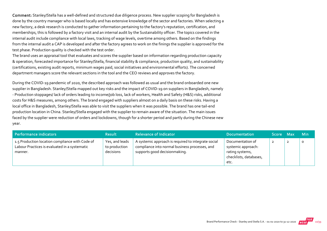Comment: Stanley/Stella has a well-defined and structured due diligence process. New supplier scoping for Bangladesh is done by the country manager who is based locally and has extensive knowledge of the sector and factories. When selecting a new factory, a desk research is conducted to gather information pertaining to the factory's reputation, certification, and memberships, this is followed by a factory visit and an internal audit by the Sustainability officer. The topics covered in the internal audit include compliance with local laws, tracking of wage levels, overtime among others. Based on the findings from the internal audit a CAP is developed and after the factory agrees to work on the finings the supplier is approved for the test phase. Production quality is checked with the test order.

The brand uses an appraisal tool that evaluates and scores the supplier based on information regarding production capacity & operation, forecasted importance for Stanley/Stella, financial stability & compliance, production quality, and sustainability (certifications, existing audit reports, minimum wages paid, social initiatives and environmental efforts). The concerned department managers score the relevant sections in the tool and the CEO reviews and approves the factory.

During the COVID‐19 pandemic of 2020, the described approach was followed as usual and the brand onboarded one new supplier in Bangladesh. Stanley/Stella mapped out key risks and the impact of COVID‐19 on suppliers in Bangladesh, namely ‐ Production stoppages/ lack of orders leading to income/job loss, lack of workers, Health and Safety (H&S) risks, additional costs for H&S measures, among others. The brand engaged with suppliers almost on a daily basis on these risks. Having a local office in Bangladesh, Stanley/Stella was able to visit the suppliers when it was possible. The brand has one tail‐end production location in China. Stanley/Stella engaged with the supplier to remain aware of the situation. The main issues faced by the supplier were reduction of orders and lockdowns, though for a shorter period and partly during the Chinese new year.

| Performance indicators                                                                                      | <b>Result</b>                                | <b>Relevance of Indicator</b>                                                                                                          | <b>Documentation</b>                                                                        | Score Max | <b>Min</b> |
|-------------------------------------------------------------------------------------------------------------|----------------------------------------------|----------------------------------------------------------------------------------------------------------------------------------------|---------------------------------------------------------------------------------------------|-----------|------------|
| 1.5 Production location compliance with Code of<br>Labour Practices is evaluated in a systematic<br>manner. | Yes, and leads<br>to production<br>decisions | A systemic approach is required to integrate social<br>compliance into normal business processes, and<br>supports good decisionmaking. | Documentation of<br>systemic approach:<br>rating systems,<br>checklists, databases,<br>etc. |           | 0          |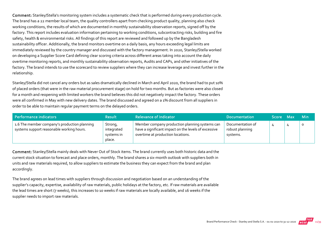Comment: Stanley/Stella's monitoring system includes a systematic check that is performed during every production cycle. The brand has a 22 member local team, the quality controllers apart from checking product quality, planning also check working conditions, the results of which are documented in monthly sustainability observation reports, signed off by the factory. This report includes evaluation information pertaining to working conditions, subcontracting risks, building and fire safety, health & environmental risks. All findings of this report are reviewed and followed up by the Bangladesh sustainability officer. Additionally, the brand monitors overtime on a daily basis, any hours exceeding legal limits are immediately reviewed by the country manager and discussed with the factory management. In 2020, Stanley/Stella worked on developing a Supplier Score Card defining clear scoring criteria across different areas taking into account the daily overtime monitoring reports, and monthly sustainability observation reports, Audits and CAPs, and other initiatives of the factory. The brand intends to use the scorecard to review suppliers where they can increase leverage and invest further in the relationship.

Stanley/Stella did not cancel any orders but as sales dramatically declined in March and April 2020, the brand had to put 10% of placed orders (that were in the raw material procurement stage) on hold for two months. But as factories were also closed for a month and reopening with limited workers the brand believes this did not negatively impact the factory. These orders were all confirmed in May with new delivery dates. The brand discussed and agreed on a 1% discount from all suppliers in order to be able to maintain regular payment terms on the delayed orders.

| Performance indicators                                                                    | <b>Result</b>                                 | <b>Relevance of Indicator</b>                                                                                                               | <b>Documentation</b>                            | Score Max | <b>Min</b> |
|-------------------------------------------------------------------------------------------|-----------------------------------------------|---------------------------------------------------------------------------------------------------------------------------------------------|-------------------------------------------------|-----------|------------|
| 1.6 The member company's production planning<br>systems support reasonable working hours. | Strong,<br>integrated<br>systems in<br>place. | Member company production planning systems can<br>have a significant impact on the levels of excessive<br>overtime at production locations. | Documentation of<br>robust planning<br>systems. |           |            |

Comment: Stanley/Stella mainly deals with Never Out of Stock items. The brand currently uses both historic data and the current stock situation to forecast and place orders, monthly. The brand shares a six-month outlook with suppliers both in units and raw materials required, to allow suppliers to estimate the business they can expect from the brand and plan accordingly.

The brand agrees on lead times with suppliers through discussion and negotiation based on an understanding of the supplier's capacity, expertise, availability of raw materials, public holidays at the factory, etc. If raw materials are available the lead times are short (7 weeks), this increases to 10 weeks if raw materials are locally available, and 16 weeks if the supplier needs to import raw materials.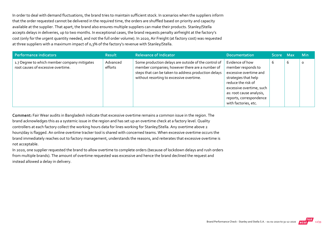In order to deal with demand fluctuations, the brand tries to maintain sufficient stock. In scenarios when the suppliers inform that the order requested cannot be delivered in the required time, the orders are shuffled based on priority and capacity available at the supplier. That apart, the brand also ensures multiple suppliers can make their products. Stanley/Stella accepts delays in deliveries, up to two months. In exceptional cases, the brand requests penalty airfreight at the factory's cost (only for the urgent quantity needed, and not the full order volume). In 2020, Air Freight (at factory cost) was requested at three suppliers with a maximum impact of 0,3% of the factory's revenue with Stanley/Stella.

| <b>Performance indicators</b>                                                      | <b>Result</b>       | <b>Relevance of Indicator</b>                                                                                                                                                                               | <b>Documentation</b>                                                                                                                                                                                                     | Score Max |   | <b>Min</b> |
|------------------------------------------------------------------------------------|---------------------|-------------------------------------------------------------------------------------------------------------------------------------------------------------------------------------------------------------|--------------------------------------------------------------------------------------------------------------------------------------------------------------------------------------------------------------------------|-----------|---|------------|
| 1.7 Degree to which member company mitigates<br>root causes of excessive overtime. | Advanced<br>efforts | Some production delays are outside of the control of<br>member companies; however there are a number of<br>steps that can be taken to address production delays<br>without resorting to excessive overtime. | Evidence of how<br>member responds to<br>excessive overtime and<br>strategies that help<br>reduce the risk of<br>excessive overtime, such<br>as: root cause analysis,<br>reports, correspondence<br>with factories, etc. | b         | 6 | $\circ$    |

Comment: Fair Wear audits in Bangladesh indicate that excessive overtime remains a common issue in the region. The brand acknowledges this as a systemic issue in the region and has set up an overtime check at a factory level. Quality controllers at each factory collect the working hours data for lines working for Stanley/Stella. Any overtime above 2 hours/day is flagged. An online overtime tracker tool is shared with concerned teams. When excessive overtime occurs the brand immediately reaches out to factory management, understands the reasons, and reiterates that excessive overtime is not acceptable.

In 2020, one supplier requested the brand to allow overtime to complete orders (because of lockdown delays and rush orders from multiple brands). The amount of overtime requested was excessive and hence the brand declined the request and instead allowed a delay in delivery.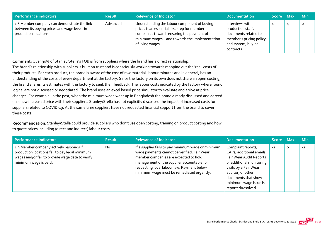| Performance indicators                                                                                               | <b>Result</b> | <b>Relevance of Indicator</b>                                                                                                                                                                                   | <b>Documentation</b>                                                                                                        | Score Max | <b>Min</b> |
|----------------------------------------------------------------------------------------------------------------------|---------------|-----------------------------------------------------------------------------------------------------------------------------------------------------------------------------------------------------------------|-----------------------------------------------------------------------------------------------------------------------------|-----------|------------|
| 1.8 Member company can demonstrate the link<br>between its buying prices and wage levels in<br>production locations. | Advanced      | Understanding the labour component of buying<br>prices is an essential first step for member<br>companies towards ensuring the payment of<br>minimum wages - and towards the implementation<br>of living wages. | Interviews with<br>production staff,<br>documents related to<br>member's pricing policy<br>and system, buying<br>contracts. |           | $\circ$    |

Comment: Over 90% of Stanley/Stella's FOB is from suppliers where the brand has a direct relationship. The brand's relationship with suppliers is built on trust and is consciously working towards mapping out the 'real' costs of their products. For each product, the brand is aware of the cost of raw material, labour minutes and in general, has an understanding of the costs of every department at the factory. Since the factory on its own does not share an open costing, the brand shares its estimates with the factory to seek their feedback. The labour costs indicated by the factory where found logical are not discussed or negotiated. The brand uses an excel based price simulator to evaluate and arrive at price changes. For example, in the past, when the minimum wage went up in Bangladesh the brand already discussed and agreed on a new increased price with their suppliers. Stanley/Stella has not explicitly discussed the impact of increased costs for suppliers related to COVID‐19. At the same time suppliers have not requested financial support from the brand to cover these costs.

Recommendation: Stanley/Stella could provide suppliers who don't use open costing, training on product costing and how to quote prices including (direct and indirect) labour costs.

| Performance indicators                                                                                                                                                 | <b>Result</b> | <b>Relevance of Indicator</b>                                                                                                                                                                                                                                                       | <b>Documentation</b>                                                                                                                                                                                                      | Score Max |   | <b>Min</b> |
|------------------------------------------------------------------------------------------------------------------------------------------------------------------------|---------------|-------------------------------------------------------------------------------------------------------------------------------------------------------------------------------------------------------------------------------------------------------------------------------------|---------------------------------------------------------------------------------------------------------------------------------------------------------------------------------------------------------------------------|-----------|---|------------|
| 1.9 Member company actively responds if<br>production locations fail to pay legal minimum<br>wages and/or fail to provide wage data to verify<br>minimum wage is paid. | <b>No</b>     | If a supplier fails to pay minimum wage or minimum<br>wage payments cannot be verified, Fair Wear<br>member companies are expected to hold<br>management of the supplier accountable for<br>respecting local labour law. Payment below<br>minimum wage must be remediated urgently. | Complaint reports,<br>CAPs, additional emails,<br>Fair Wear Audit Reports<br>or additional monitoring<br>visits by a Fair Wear<br>auditor, or other<br>documents that show<br>minimum wage issue is<br>reported/resolved. | $-2$      | O | $-2$       |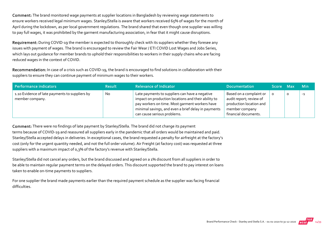Comment: The brand monitored wage payments at supplier locations in Bangladesh by reviewing wage statements to ensure workers received legal minimum wages. Stanley/Stella is aware that workers received 65% of wages for the month of April during the lockdown, as per local government regulations. The brand shared that even though one supplier was willing to pay full wages, it was prohibited by the garment manufacturing association, in fear that it might cause disruptions.

Requirement: During COVID-19 the member is expected to thoroughly check with its suppliers whether they foresee any issues with payment of wages. The brand is encouraged to review the Fair Wear / ETI COVID Lost Wages and Jobs Series, which lays out guidance for member brands to uphold their responsibilities to workers in their supply chains who are facing reduced wages in the context of COVID.

Recommendation: In case of a crisis such as COVID-19, the brand is encouraged to find solutions in collaboration with their suppliers to ensure they can continue payment of minimum wages to their workers.

| Performance indicators                                            | <b>Result</b> | <b>Relevance of Indicator</b>                                                                                                                                                                                                                 | <b>Documentation</b>                                                                                                    | Score Max | <b>Min</b> |
|-------------------------------------------------------------------|---------------|-----------------------------------------------------------------------------------------------------------------------------------------------------------------------------------------------------------------------------------------------|-------------------------------------------------------------------------------------------------------------------------|-----------|------------|
| 1.10 Evidence of late payments to suppliers by<br>member company. | <b>No</b>     | Late payments to suppliers can have a negative<br>impact on production locations and their ability to<br>pay workers on time. Most garment workers have<br>minimal savings, and even a brief delay in payments<br>can cause serious problems. | Based on a complaint or<br>audit report; review of<br>production location and<br>member company<br>financial documents. |           | $-1$       |

Comment: There were no findings of late payment by Stanley/Stella. The brand did not change its payment terms because of COVID‐19 and reassured all suppliers early in the pandemic that all orders would be maintained and paid. Stanley/Stella accepted delays in deliveries. In exceptional cases, the brand requested a penalty for airfreight at the factory's cost (only for the urgent quantity needed, and not the full order volume). Air Freight (at factory cost) was requested at three suppliers with a maximum impact of 0,3% of the factory's revenue with Stanley/Stella.

Stanley/Stella did not cancel any orders, but the brand discussed and agreed on a 1% discount from all suppliers in order to be able to maintain regular payment terms on the delayed orders. This discount supported the brand to pay interest on loans taken to enable on-time payments to suppliers.

For one supplier the brand made payments earlier than the required payment schedule as the supplier was facing financial difficulties.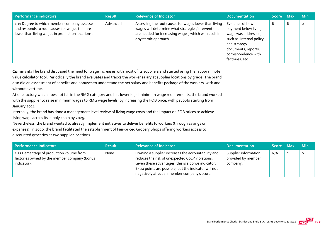| Performance indicators                                                                                                                             | <b>Result</b> | <b>Relevance of Indicator</b>                                                                                                                                                               | <b>Documentation</b>                                                                                                                                                       | <b>Score</b> | <b>Max</b> | <b>Min</b> |
|----------------------------------------------------------------------------------------------------------------------------------------------------|---------------|---------------------------------------------------------------------------------------------------------------------------------------------------------------------------------------------|----------------------------------------------------------------------------------------------------------------------------------------------------------------------------|--------------|------------|------------|
| 1.11 Degree to which member company assesses<br>and responds to root causes for wages that are<br>lower than living wages in production locations. | Advanced      | Assessing the root causes for wages lower than living<br>wages will determine what strategies/interventions<br>are needed for increasing wages, which will result in<br>a systemic approach | Evidence of how<br>payment below living<br>wage was addressed,<br>such as: Internal policy<br>and strategy<br>documents, reports,<br>correspondence with<br>factories, etc | р            | b          | o          |

Comment: The brand discussed the need for wage increases with most of its suppliers and started using the labour minute value calculator tool. Periodically the brand evaluates and tracks the worker salary at supplier locations by grade. The brand also did an assessment of benefits and bonuses to understand the net salary and benefits package of the workers, with and without overtime.

At one factory which does not fall in the RMG category and has lower legal minimum wage requirements, the brand worked with the supplier to raise minimum wages to RMG wage levels, by increasing the FOB price, with payouts starting from January 2021.

Internally, the brand has done a management level review of living wage costs and the impact on FOB prices to achieve living wage across its supply chain by 2025.

Nevertheless, the brand wanted to already implement initiatives to deliver benefits to workers (through savings on expenses). In 2020, the brand facilitated the establishment of Fair‐priced Grocery Shops offering workers access to discounted groceries at two supplier locations.

| Performance indicators                                                                                   | <b>Result</b> | <b>Relevance of Indicator</b>                                                                                                                                                                                                                                        | <b>Documentation</b>                                   | Score Max | <b>Min</b> |
|----------------------------------------------------------------------------------------------------------|---------------|----------------------------------------------------------------------------------------------------------------------------------------------------------------------------------------------------------------------------------------------------------------------|--------------------------------------------------------|-----------|------------|
| 1.12 Percentage of production volume from<br>factories owned by the member company (bonus<br>indicator). | None          | Owning a supplier increases the accountability and<br>reduces the risk of unexpected CoLP violations.<br>Given these advantages, this is a bonus indicator.<br>Extra points are possible, but the indicator will not<br>negatively affect an member company's score. | Supplier information<br>provided by member<br>company. | N/A       |            |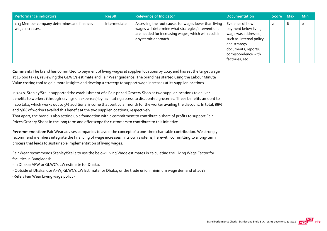| <b>Performance indicators</b>                                  | <b>Result</b> | <b>Relevance of Indicator</b>                                                                                                                                                                | <b>Documentation</b>                                                                                                                                                        | Score Max |   | <b>Min</b> |
|----------------------------------------------------------------|---------------|----------------------------------------------------------------------------------------------------------------------------------------------------------------------------------------------|-----------------------------------------------------------------------------------------------------------------------------------------------------------------------------|-----------|---|------------|
| 1.13 Member company determines and finances<br>wage increases. | Intermediate  | Assessing the root causes for wages lower than living<br>wages will determine what strategies/interventions<br>are needed for increasing wages, which will result in<br>a systemic approach. | Evidence of how<br>payment below living<br>wage was addressed,<br>such as: internal policy<br>and strategy<br>documents, reports,<br>correspondence with<br>factories, etc. |           | b | 0          |

Comment: The brand has committed to payment of living wages at supplier locations by 2025 and has set the target wage at 16,000 takas, reviewing the GLWC's estimate and Fair Wear guidance. The brand has started using the Labour Minute Value costing tool to gain more insights and develop a strategy to support wage increases at its supplier locations.

In 2020, Stanley/Stella supported the establishment of a Fair‐priced Grocery Shop at two supplier locations to deliver benefits to workers (through savings on expenses) by facilitating access to discounted groceries. These benefits amount to ~400 taka, which works out to 5% additional income that particular month for the worker availing the discount. In total, 88% and 98% of workers availed this benefit at the two supplier locations, respectively.

That apart, the brand is also setting up a foundation with a commitment to contribute a share of profits to support Fair Prices Grocery Shops in the long term and offer scope for customers to contribute to this initiative.

Recommendation: Fair Wear advises companies to avoid the concept of a one-time charitable contribution. We strongly recommend members integrate the financing of wage increases in its own systems, herewith committing to a long‐term process that leads to sustainable implementation of living wages.

Fair Wear recommends Stanley/Stella to use the below Living Wage estimates in calculating the Living Wage Factor for facilities in Bangladesh:

‐ In Dhaka: AFW or GLWC's LW estimate for Dhaka.

‐ Outside of Dhaka: use AFW, GLWC's LW Estimate for Dhaka, or the trade union minimum wage demand of 2018. (Refer: Fair Wear Living wage policy)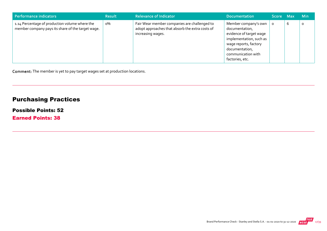| Performance indicators                                                                              | <b>Result</b> | <b>Relevance of Indicator</b>                                                                                        | <b>Documentation</b>                                                                                                                                                             | Score Max |   | <b>Min</b> |
|-----------------------------------------------------------------------------------------------------|---------------|----------------------------------------------------------------------------------------------------------------------|----------------------------------------------------------------------------------------------------------------------------------------------------------------------------------|-----------|---|------------|
| 1.14 Percentage of production volume where the<br>member company pays its share of the target wage. | о%            | Fair Wear member companies are challenged to<br>adopt approaches that absorb the extra costs of<br>increasing wages. | Member company's own<br>documentation,<br>evidence of target wage<br>implementation, such as<br>wage reports, factory<br>documentation,<br>communication with<br>factories, etc. |           | b | O          |

Comment: The member is yet to pay target wages set at production locations.

# Purchasing Practices

#### Possible Points: 52

Earned Points: 38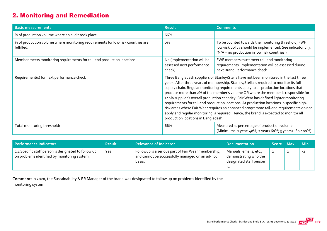# 2. Monitoring and Remediation

| <b>Basic measurements</b>                                                                     | <b>Result</b>                                                                                                                                                                                                                                                                                                                                                                                                                                                                                                                                                                                                                                                                                                                                                                  | <b>Comments</b>                                                                                                                                                  |  |
|-----------------------------------------------------------------------------------------------|--------------------------------------------------------------------------------------------------------------------------------------------------------------------------------------------------------------------------------------------------------------------------------------------------------------------------------------------------------------------------------------------------------------------------------------------------------------------------------------------------------------------------------------------------------------------------------------------------------------------------------------------------------------------------------------------------------------------------------------------------------------------------------|------------------------------------------------------------------------------------------------------------------------------------------------------------------|--|
| % of production volume where an audit took place.                                             | 66%                                                                                                                                                                                                                                                                                                                                                                                                                                                                                                                                                                                                                                                                                                                                                                            |                                                                                                                                                                  |  |
| % of production volume where monitoring requirements for low-risk countries are<br>fulfilled. | о%                                                                                                                                                                                                                                                                                                                                                                                                                                                                                                                                                                                                                                                                                                                                                                             | To be counted towards the monitoring threshold, FWF<br>low-risk policy should be implemented. See indicator 2.9.<br>(N/A = no production in low risk countries.) |  |
| Member meets monitoring requirements for tail-end production locations.                       | No (implementation will be<br>assessed next performance<br>check)                                                                                                                                                                                                                                                                                                                                                                                                                                                                                                                                                                                                                                                                                                              | FWF members must meet tail-end monitoring<br>requirements. Implementation will be assessed during<br>next Brand Performance check.                               |  |
| Requirement(s) for next performance check                                                     | Three Bangladesh suppliers of Stanley/Stella have not been monitored in the last three<br>years. After three years of membership, Stanley/Stella is required to monitor its full<br>supply chain. Regular monitoring requirements apply to all production locations that<br>produce more than 2% of the member's volume OR where the member is responsible for<br>>10% supplier's overall production capacity. Fair Wear has defined lighter monitoring<br>requirements for tail-end production locations. At production locations in specific high-<br>risk areas where Fair Wear requires an enhanced programme tail-end requirements do not<br>apply and regular monitoring is required. Hence, the brand is expected to monitor all<br>production locations in Bangladesh. |                                                                                                                                                                  |  |
| Total monitoring threshold:                                                                   | 66%                                                                                                                                                                                                                                                                                                                                                                                                                                                                                                                                                                                                                                                                                                                                                                            | Measured as percentage of production volume<br>(Minimums: 1 year: 40%; 2 years 60%; 3 years+: 80-100%)                                                           |  |

| Performance indicators                                                                               | <b>Result</b> | <b>Relevance of Indicator</b>                                                                                    | <b>Documentation</b>                                                              | Score Max |                | <b>Min</b> |
|------------------------------------------------------------------------------------------------------|---------------|------------------------------------------------------------------------------------------------------------------|-----------------------------------------------------------------------------------|-----------|----------------|------------|
| 2.1 Specific staff person is designated to follow up<br>on problems identified by monitoring system. | Yes           | Followup is a serious part of Fair Wear membership,<br>and cannot be successfully managed on an ad-hoc<br>basis. | Manuals, emails, etc.,<br>demonstrating who the<br>designated staff person<br>גו. |           | $\overline{2}$ | $-2$       |

Comment: In 2020, the Sustainability & PR Manager of the brand was designated to follow up on problems identified by the monitoring system.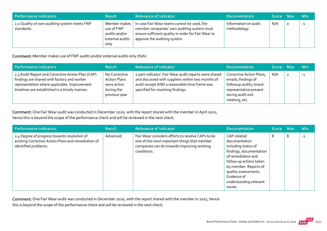| Performance indicators                                     | <b>Result</b>                                                          | <b>Relevance of Indicator</b>                                                                                                                                                    | <b>Documentation</b>                 | Score Max |   | <b>Min</b> |
|------------------------------------------------------------|------------------------------------------------------------------------|----------------------------------------------------------------------------------------------------------------------------------------------------------------------------------|--------------------------------------|-----------|---|------------|
| 2.2 Quality of own auditing system meets FWF<br>standards. | Member makes<br>use of FWF<br>audits and/or<br>external audits<br>only | In case Fair Wear teams cannot be used, the<br>member companies' own auditing system must<br>ensure sufficient quality in order for Fair Wear to<br>approve the auditing system. | Information on audit<br>methodology. | N/A       | O | $-1$       |

Comment: Member makes use of FWF audits and/or external audits only (N/A)

| Performance indicators                                                                                                                                                                            | <b>Result</b>                                                                      | Relevance of Indicator                                                                                                                                                                           | <b>Documentation</b>                                                                                                                      | Score Max | <b>Min</b> |
|---------------------------------------------------------------------------------------------------------------------------------------------------------------------------------------------------|------------------------------------------------------------------------------------|--------------------------------------------------------------------------------------------------------------------------------------------------------------------------------------------------|-------------------------------------------------------------------------------------------------------------------------------------------|-----------|------------|
| 2.3 Audit Report and Corrective Action Plan (CAP)<br>findings are shared with factory and worker<br>representation where applicable. Improvement<br>timelines are established in a timely manner. | No Corrective<br><b>Action Plans</b><br>were active<br>during the<br>previous year | 2 part indicator: Fair Wear audit reports were shared<br>and discussed with suppliers within two months of<br>audit receipt AND a reasonable time frame was<br>specified for resolving findings. | Corrective Action Plans,<br>emails; findings of<br>followup audits; brand<br>representative present<br>during audit exit<br>meeting, etc. | N/A       | $-1$       |

Comment: One Fair Wear audit was conducted in December 2020, with the report shared with the member in April 2021, hence this is beyond the scope of the performance check and will be reviewed in the next check.

| Performance indicators                                                                                                      | <b>Result</b> | <b>Relevance of Indicator</b>                                                                                                                                  | <b>Documentation</b>                                                                                                                                                                                                                 | Score Max |   | <b>Min</b> |
|-----------------------------------------------------------------------------------------------------------------------------|---------------|----------------------------------------------------------------------------------------------------------------------------------------------------------------|--------------------------------------------------------------------------------------------------------------------------------------------------------------------------------------------------------------------------------------|-----------|---|------------|
| 2.4 Degree of progress towards resolution of<br>existing Corrective Action Plans and remediation of<br>identified problems. | Advanced      | Fair Wear considers efforts to resolve CAPs to be<br>one of the most important things that member<br>companies can do towards improving working<br>conditions. | CAP-related<br>documentation<br>including status of<br>findings, documentation<br>of remediation and<br>follow up actions taken<br>by member. Reports of<br>quality assessments.<br>Evidence of<br>understanding relevant<br>issues. | 8         | 8 | $-2$       |

Comment: One Fair Wear audit was conducted in December 2020, with the report shared with the member in 2021, hence this is beyond the scope of the performance check and will be reviewed in the next check.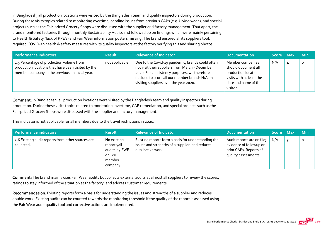In Bangladesh, all production locations were visited by the Bangladesh team and quality inspectors during production. During these visits topics related to monitoring overtime, pending issues from previous CAPs (e.g. Living wage), and special projects such as the Fair‐priced Grocery Shops were discussed with the supplier and factory management. That apart, the brand monitored factories through monthly Sustainability Audits and followed up on findings which were mainly pertaining to Health & Safety (lack of PPE's) and Fair Wear information posters missing. The brand ensured all its suppliers took required COVID‐19 health & safety measures with its quality inspectors at the factory verifying this and sharing photos.

| Performance indicators                                                                                                                           | <b>Result</b>  | <b>Relevance of Indicator</b>                                                                                                                                                                                                                  | <b>Documentation</b>                                                                                                           | Score Max |       | <b>Min</b> |
|--------------------------------------------------------------------------------------------------------------------------------------------------|----------------|------------------------------------------------------------------------------------------------------------------------------------------------------------------------------------------------------------------------------------------------|--------------------------------------------------------------------------------------------------------------------------------|-----------|-------|------------|
| 2.5 Percentage of production volume from<br>production locations that have been visited by the<br>member company in the previous financial year. | not applicable | Due to the Covid-19 pandemic, brands could often<br>not visit their suppliers from March - December<br>2020. For consistency purposes, we therefore<br>decided to score all our member brands N/A on<br>visiting suppliers over the year 2020. | Member companies<br>should document all<br>production location<br>visits with at least the<br>date and name of the<br>visitor. | N/A       | $\mu$ |            |

Comment: In Bangladesh, all production locations were visited by the Bangladesh team and quality inspectors during production. During these visits topics related to monitoring, overtime, CAP remediation, and special projects such as the Fair‐priced Grocery Shops were discussed with the supplier and factory management.

This indicator is not applicable for all members due to the travel restrictions in 2020.

| Performance indicators                                          | <b>Result</b>                                                              | <b>Relevance of Indicator</b>                                                                                               | <b>Documentation</b>                                                                                    | Score Max | <b>Min</b> |
|-----------------------------------------------------------------|----------------------------------------------------------------------------|-----------------------------------------------------------------------------------------------------------------------------|---------------------------------------------------------------------------------------------------------|-----------|------------|
| 2.6 Existing audit reports from other sources are<br>collected. | No existing<br>reports/all<br>audits by FWF<br>or FWF<br>member<br>company | Existing reports form a basis for understanding the<br>issues and strengths of a supplier, and reduces<br>duplicative work. | Audit reports are on file;<br>evidence of followup on<br>prior CAPs. Reports of<br>quality assessments. | N/A       |            |

Comment: The brand mainly uses Fair Wear audits but collects external audits at almost all suppliers to review the scores, ratings to stay informed of the situation at the factory, and address customer requirements.

Recommendation: Existing reports form a basis for understanding the issues and strengths of a supplier and reduces double work. Existing audits can be counted towards the monitoring threshold if the quality of the report is assessed using the Fair Wear audit quality tool and corrective actions are implemented.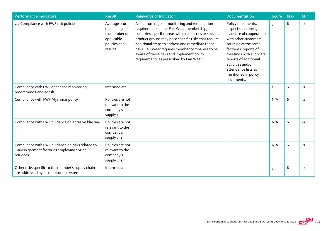| <b>Performance indicators</b>                                                                              | <b>Result</b>                                                                           | <b>Relevance of Indicator</b>                                                                                                                                                                                                                                                                                                                                                                              | <b>Documentation</b>                                                                                                                                                                                                                                                               | <b>Score</b> | <b>Max</b> | Min  |
|------------------------------------------------------------------------------------------------------------|-----------------------------------------------------------------------------------------|------------------------------------------------------------------------------------------------------------------------------------------------------------------------------------------------------------------------------------------------------------------------------------------------------------------------------------------------------------------------------------------------------------|------------------------------------------------------------------------------------------------------------------------------------------------------------------------------------------------------------------------------------------------------------------------------------|--------------|------------|------|
| 2.7 Compliance with FWF risk policies.                                                                     | Average score<br>depending on<br>the number of<br>applicable<br>policies and<br>results | Aside from regular monitoring and remediation<br>requirements under Fair Wear membership,<br>countries, specific areas within countries or specific<br>product groups may pose specific risks that require<br>additional steps to address and remediate those<br>risks. Fair Wear requires member companies to be<br>aware of those risks and implement policy<br>requirements as prescribed by Fair Wear. | Policy documents,<br>inspection reports,<br>evidence of cooperation<br>with other customers<br>sourcing at the same<br>factories, reports of<br>meetings with suppliers,<br>reports of additional<br>activities and/or<br>attendance lists as<br>mentioned in policy<br>documents. | 3            | 6          | $-2$ |
| Compliance with FWF enhanced monitoring<br>programme Bangladesh                                            | Intermediate                                                                            |                                                                                                                                                                                                                                                                                                                                                                                                            |                                                                                                                                                                                                                                                                                    | 3            | 6          | $-2$ |
| Compliance with FWF Myanmar policy                                                                         | Policies are not<br>relevant to the<br>company's<br>supply chain                        |                                                                                                                                                                                                                                                                                                                                                                                                            |                                                                                                                                                                                                                                                                                    | N/A          | 6          | $-2$ |
| Compliance with FWF guidance on abrasive blasting                                                          | Policies are not<br>relevant to the<br>company's<br>supply chain                        |                                                                                                                                                                                                                                                                                                                                                                                                            |                                                                                                                                                                                                                                                                                    | N/A          | 6          | $-2$ |
| Compliance with FWF quidance on risks related to<br>Turkish garment factories employing Syrian<br>refugees | Policies are not<br>relevant to the<br>company's<br>supply chain                        |                                                                                                                                                                                                                                                                                                                                                                                                            |                                                                                                                                                                                                                                                                                    | N/A          | 6          | $-2$ |
| Other risks specific to the member's supply chain<br>are addressed by its monitoring system                | Intermediate                                                                            |                                                                                                                                                                                                                                                                                                                                                                                                            |                                                                                                                                                                                                                                                                                    | 3            | 6          | $-2$ |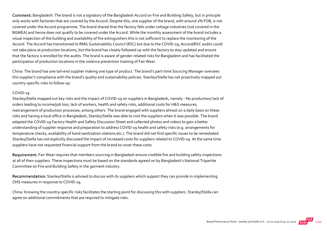Comment: Bangladesh: The brand is not a signatory of the Bangladesh Accord on Fire and Building Safety, but in principle only works with factories that are covered by the Accord. Despite this, one supplier of the brand, with around 2% FOB, is not covered under the Accord programme. The brand shared that the factory falls under cottage industries (not covered in the BGMEA) and hence does not qualify to be covered under the Accord. While the monthly assessment of the brand includes a visual inspection of the building and availability of fire extinguishers this is not sufficient to replace the monitoring of the Accord. The Accord has transitioned to RMG Sustainability Council (RSC) but due to the COVID‐19, Accord/RSC audits could not take place at production locations, but the brand has closely followed up with the factory to stay updated and ensure that the factory is enrolled for the audits. The brand is aware of gender‐related risks for Bangladesh and has facilitated the participation of production locations in the violence prevention training of Fair Wear.

China: The brand has one tail‐end supplier making one type of product. The brand's part‐time Sourcing Manager oversees this supplier's compliance with the brand's quality and sustainability policies. Stanley/Stella has not proactively mapped out country‐specific risks to follow‐up.

#### COVID‐19

Stanley/Stella mapped out key risks and the impact of COVID‐19 on suppliers in Bangladesh, namely ‐ No production/ lack of orders leading to income/job loss, lack of workers, health and safety risks, additional costs for H&S measures, rearrangement of production processes, among others. The brand engaged with suppliers almost on a daily basis on these risks and having a local office in Bangladesh, Stanley/Stella was able to visit the suppliers when it was possible. The brand adapted the COVID‐19 Factory Health and Safety Discussion Sheet and collected photos and videos to gain a better understanding of supplier response and preparation to address COVID‐19 health and safety risks (e.g. arrangements for temperature checks, availability of hand sanitization stations etc.). The brand did not find specific issues to be remediated. Stanley/Stella has not explicitly discussed the impact of increased costs for suppliers related to COVID‐19. At the same time suppliers have not requested financial support from the brand to cover these costs.

Requirement: Fair Wear requires that members sourcing in Bangladesh ensure credible fire and building safety inspections at all of their suppliers. These inspections must be based on the standards agreed on by Bangladesh's National Tripartite Committee on Fire and Building Safety in the garment industry.

Recommendation: Stanley/Stella is advised to discuss with its suppliers which support they can provide in implementing OHS measures in response to COVID‐19.

China: Knowing the country‐specific risks facilitates the starting point for discussing this with suppliers. Stanley/Stella can agree on additional commitments that are required to mitigate risks.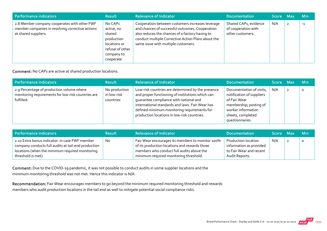| <b>Performance indicators</b>                                                                                            | <b>Result</b>                                                                                                | <b>Relevance of Indicator</b>                                                                                                                                                                                                                       | <b>Documentation</b>                                             | Score Max |                | <b>Min</b> |
|--------------------------------------------------------------------------------------------------------------------------|--------------------------------------------------------------------------------------------------------------|-----------------------------------------------------------------------------------------------------------------------------------------------------------------------------------------------------------------------------------------------------|------------------------------------------------------------------|-----------|----------------|------------|
| 2.8 Member company cooperates with other FWF<br>member companies in resolving corrective actions<br>at shared suppliers. | No CAPs<br>active, no<br>shared<br>production<br>locations or<br>refusal of other<br>company to<br>cooperate | Cooperation between customers increases leverage<br>and chances of successful outcomes. Cooperation<br>also reduces the chances of a factory having to<br>conduct multiple Corrective Action Plans about the<br>same issue with multiple customers. | Shared CAPs, evidence<br>of cooperation with<br>other customers. | N/A       | $\overline{2}$ | $-1$       |

Comment: No CAPs are active at shared production locations.

| Performance indicators                                                                                        | <b>Result</b>                             | <b>Relevance of Indicator</b>                                                                                                                                                                                                                                                                    | <b>Documentation</b>                                                                                                                                          | Score Max | <b>Min</b> |
|---------------------------------------------------------------------------------------------------------------|-------------------------------------------|--------------------------------------------------------------------------------------------------------------------------------------------------------------------------------------------------------------------------------------------------------------------------------------------------|---------------------------------------------------------------------------------------------------------------------------------------------------------------|-----------|------------|
| 2.9 Percentage of production volume where<br>monitoring requirements for low-risk countries are<br>fulfilled. | No production<br>in low-risk<br>countries | Low-risk countries are determined by the presence<br>and proper functioning of institutions which can<br>quarantee compliance with national and<br>international standards and laws. Fair Wear has<br>defined minimum monitoring requirements for<br>production locations in low-risk countries. | Documentation of visits,<br>notification of suppliers<br>of Fair Wear<br>membership; posting of<br>worker information<br>sheets, completed<br>questionnaires. | N/A       | $\circ$    |

| Performance indicators                                                                                                                                                         | <b>Result</b> | Relevance of Indicator                                                                                                                                                                   | Documentation                                                                                      | Score Max | <b>Min</b> |
|--------------------------------------------------------------------------------------------------------------------------------------------------------------------------------|---------------|------------------------------------------------------------------------------------------------------------------------------------------------------------------------------------------|----------------------------------------------------------------------------------------------------|-----------|------------|
| 2.10 Extra bonus indicator: in case FWF member<br>company conducts full audits at tail-end production<br>locations (when the minimum required monitoring<br>threshold is met). | <b>No</b>     | Fair Wear encourages its members to monitor 100%<br>of its production locations and rewards those<br>members who conduct full audits above the<br>minimum required monitoring threshold. | <b>Production location</b><br>information as provided<br>to Fair Wear and recent<br>Audit Reports. | N/A       | $\circ$    |

Comment: Due to the COVID‐19 pandemic, it was not possible to conduct audits in some supplier locations and the minimum monitoring threshold was not met. Hence this indicator is N/A.

Recommendation: Fair Wear encourages members to go beyond the minimum required monitoring threshold and rewards members who audit production locations in the tail end as well to mitigate potential social compliance risks.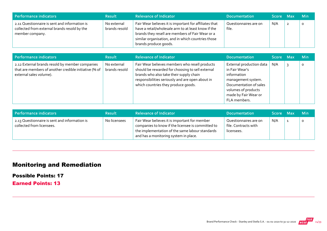| Performance indicators                                                                                           | <b>Result</b>                | <b>Relevance of Indicator</b>                                                                                                                                                                                                                    | <b>Documentation</b>           | <b>Score Max</b> ا | <b>Min</b> |
|------------------------------------------------------------------------------------------------------------------|------------------------------|--------------------------------------------------------------------------------------------------------------------------------------------------------------------------------------------------------------------------------------------------|--------------------------------|--------------------|------------|
| 2.11 Questionnaire is sent and information is<br>collected from external brands resold by the<br>member company. | No external<br>brands resold | Fair Wear believes it is important for affiliates that<br>have a retail/wholesale arm to at least know if the<br>brands they resell are members of Fair Wear or a<br>similar organisation, and in which countries those<br>brands produce goods. | Questionnaires are on<br>file. | N/A                | 0          |

| <b>Performance indicators</b>                                                                                                       | <b>Result</b>                | <b>Relevance of Indicator</b>                                                                                                                                                                                                            | <b>Documentation</b>                                                                                                                                                                 | Score Max | <b>Min</b> |
|-------------------------------------------------------------------------------------------------------------------------------------|------------------------------|------------------------------------------------------------------------------------------------------------------------------------------------------------------------------------------------------------------------------------------|--------------------------------------------------------------------------------------------------------------------------------------------------------------------------------------|-----------|------------|
| 2.12 External brands resold by member companies<br>that are members of another credible initiative (% of<br>external sales volume). | No external<br>brands resold | Fair Wear believes members who resell products<br>should be rewarded for choosing to sell external<br>brands who also take their supply chain<br>responsibilities seriously and are open about in<br>which countries they produce goods. | External production data $\parallel$<br>in Fair Wear's<br>information<br>management system.<br>Documentation of sales<br>volumes of products<br>made by Fair Wear or<br>FLA members. | N/A       | $\Omega$   |

| Performance indicators                                                     | <b>Result</b> | <b>Relevance of Indicator</b>                                                                                                                                                                  | <b>Documentation</b>                                        | Score Max | <b>Min</b>   |
|----------------------------------------------------------------------------|---------------|------------------------------------------------------------------------------------------------------------------------------------------------------------------------------------------------|-------------------------------------------------------------|-----------|--------------|
| 2.13 Questionnaire is sent and information is<br>collected from licensees. | No licensees  | Fair Wear believes it is important for member<br>companies to know if the licensee is committed to<br>the implementation of the same labour standards<br>and has a monitoring system in place. | Questionnaires are on<br>file. Contracts with<br>licensees. | N/A       | $\mathbf{o}$ |

# Monitoring and Remediation

Possible Points: 17

Earned Points: 13

Brand Performance Check - Stanley and Stella S.A. - 01-01-2020 to 31-12-2020 WEAR 24/39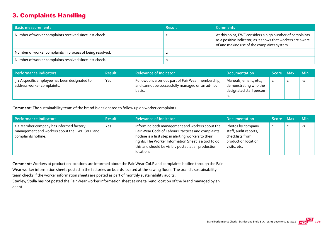### 3. Complaints Handling

| <b>Basic measurements</b>                                 | <b>Result</b> | <b>Comments</b>                                                                                                                                                        |
|-----------------------------------------------------------|---------------|------------------------------------------------------------------------------------------------------------------------------------------------------------------------|
| Number of worker complaints received since last check.    |               | At this point, FWF considers a high number of complaints<br>as a positive indicator, as it shows that workers are aware<br>of and making use of the complaints system. |
| Number of worker complaints in process of being resolved. |               |                                                                                                                                                                        |
| Number of worker complaints resolved since last check.    |               |                                                                                                                                                                        |

| Performance indicators                                                       | <b>Result</b> | <b>Relevance of Indicator</b>                                                                                    | <b>Documentation</b>                                                       | Score Max | <b>Min</b> |
|------------------------------------------------------------------------------|---------------|------------------------------------------------------------------------------------------------------------------|----------------------------------------------------------------------------|-----------|------------|
| 3.1 A specific employee has been designated to<br>address worker complaints. | Yes           | Followup is a serious part of Fair Wear membership,<br>and cannot be successfully managed on an ad-hoc<br>basis. | Manuals, emails, etc.,<br>demonstrating who the<br>designated staff person |           | $-1$       |

Comment: The sustainability team of the brand is designated to follow up on worker complaints.

| Performance indicators                                                                                          | <b>Result</b> | <b>Relevance of Indicator</b>                                                                                                                                                                                                                                                             | <b>Documentation</b>                                                                                 | Score Max    | <b>Min</b> |
|-----------------------------------------------------------------------------------------------------------------|---------------|-------------------------------------------------------------------------------------------------------------------------------------------------------------------------------------------------------------------------------------------------------------------------------------------|------------------------------------------------------------------------------------------------------|--------------|------------|
| 3.2 Member company has informed factory<br>management and workers about the FWF CoLP and<br>complaints hotline. | Yes           | Informing both management and workers about the<br>Fair Wear Code of Labour Practices and complaints<br>hotline is a first step in alerting workers to their<br>rights. The Worker Information Sheet is a tool to do<br>this and should be visibly posted at all production<br>locations. | Photos by company<br>staff, audit reports,<br>checklists from<br>production location<br>visits, etc. | $\mathbf{2}$ | $-2$       |

Comment: Workers at production locations are informed about the Fair Wear CoLP and complaints hotline through the Fair

Wear worker information sheets posted in the factories on boards located at the sewing floors. The brand's sustainability

team checks if the worker information sheets are posted as part of monthly sustainability audits.

Stanley/ Stella has not posted the Fair Wear worker information sheet at one tail‐end location of the brand managed by an agent.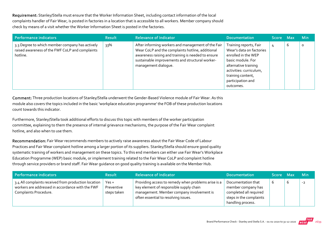Requirement: Stanley/Stella must ensure that the Worker Information Sheet, including contact information of the local complaints handler of Fair Wear, is posted in factories in a location that is accessible to all workers. Member company should check by means of a visit whether the Worker Information Sheet is posted in the factories.

| Performance indicators                                                                                         | <b>Result</b> | <b>Relevance of Indicator</b>                                                                                                                                                                                                           | <b>Documentation</b>                                                                                                                                                                                     | Score Max' |   | <b>Min</b> |
|----------------------------------------------------------------------------------------------------------------|---------------|-----------------------------------------------------------------------------------------------------------------------------------------------------------------------------------------------------------------------------------------|----------------------------------------------------------------------------------------------------------------------------------------------------------------------------------------------------------|------------|---|------------|
| 3.3 Degree to which member company has actively<br>raised awareness of the FWF CoLP and complaints<br>hotline. | 33%           | After informing workers and management of the Fair<br>Wear CoLP and the complaints hotline, additional<br>awareness raising and training is needed to ensure<br>sustainable improvements and structural worker-<br>management dialogue. | Training reports, Fair<br>Wear's data on factories<br>enrolled in the WEP<br>basic module. For<br>alternative training<br>activities: curriculum,<br>training content,<br>participation and<br>outcomes. | 4          | b | $\circ$    |

Comment: Three production locations of Stanley/Stella underwent the Gender-Based Violence module of Fair Wear. As this module also covers the topics included in the basic 'workplace education programme' the FOB of these production locations count towards this indicator.

Furthermore, Stanley/Stella took additional efforts to discuss this topic with members of the worker participation committee, explaining to them the presence of internal grievance mechanisms, the purpose of the Fair Wear complaint hotline, and also when to use them.

Recommendation: Fair Wear recommends members to actively raise awareness about the Fair Wear Code of Labour Practices and Fair Wear complaint hotline among a larger portion of its suppliers. Stanley/Stella should ensure good quality systematic training of workers and management on these topics. To this end members can either use Fair Wear's Workplace Education Programme (WEP) basic module, or implement training related to the Fair Wear CoLP and complaint hotline through service providers or brand staff. Fair Wear guidance on good quality training is available on the Member Hub.

| Performance indicators                                                                                                            | <b>Result</b>                        | Relevance of Indicator                                                                                                                                                              | <b>Documentation</b>                                                                                               | Score Max |   | — Min |
|-----------------------------------------------------------------------------------------------------------------------------------|--------------------------------------|-------------------------------------------------------------------------------------------------------------------------------------------------------------------------------------|--------------------------------------------------------------------------------------------------------------------|-----------|---|-------|
| 3.4 All complaints received from production location<br>workers are addressed in accordance with the FWF<br>Complaints Procedure. | $Yes +$<br>Preventive<br>steps taken | Providing access to remedy when problems arise is a<br>key element of responsible supply chain<br>management. Member company involvement is<br>often essential to resolving issues. | Documentation that<br>member company has<br>completed all required<br>steps in the complaints<br>handling process. | b         | O | $-2$  |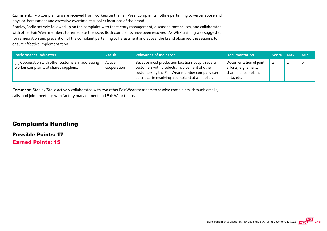Comment: Two complaints were received from workers on the Fair Wear complaints hotline pertaining to verbal abuse and physical harassment and excessive overtime at supplier locations of the brand.

Stanley/Stella actively followed up on the complaint with the factory management, discussed root causes, and collaborated with other Fair Wear members to remediate the issue. Both complaints have been resolved. As WEP training was suggested for remediation and prevention of the complaint pertaining to harassment and abuse, the brand observed the sessions to ensure effective implementation.

| Performance indicators                                                                       | <b>Result</b>         | <b>Relevance of Indicator</b>                                                                                                                                                                             | <b>Documentation</b>                                                                  | Score Max |   | <b>Min</b> |
|----------------------------------------------------------------------------------------------|-----------------------|-----------------------------------------------------------------------------------------------------------------------------------------------------------------------------------------------------------|---------------------------------------------------------------------------------------|-----------|---|------------|
| 3.5 Cooperation with other customers in addressing<br>worker complaints at shared suppliers. | Active<br>cooperation | Because most production locations supply several<br>customers with products, involvement of other<br>customers by the Fair Wear member company can<br>be critical in resolving a complaint at a supplier. | Documentation of joint<br>efforts, e.g. emails,<br>sharing of complaint<br>data, etc. |           | ∸ |            |

Comment: Stanley/Stella actively collaborated with two other Fair Wear members to resolve complaints, through emails, calls, and joint meetings with factory management and Fair Wear teams.

#### Complaints Handling

Possible Points: 17

Earned Points: 15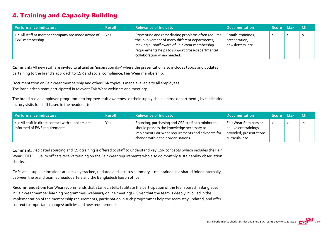# 4. Training and Capacity Building

| Performance indicators                                               | <b>Result</b> | <b>Relevance of Indicator</b>                                                                                                                                                                                                            | <b>Documentation</b>                                     | Score Max | <b>Min</b> |
|----------------------------------------------------------------------|---------------|------------------------------------------------------------------------------------------------------------------------------------------------------------------------------------------------------------------------------------------|----------------------------------------------------------|-----------|------------|
| 4.1 All staff at member company are made aware of<br>FWF membership. | Yes           | Preventing and remediating problems often requires<br>the involvement of many different departments;<br>making all staff aware of Fair Wear membership<br>requirements helps to support cross-departmental<br>collaboration when needed. | Emails, trainings,<br>presentation,<br>newsletters, etc. |           | $\circ$    |

Comment: All new staff are invited to attend an 'inspiration day' where the presentation also includes topics and updates pertaining to the brand's approach to CSR and social compliance, Fair Wear membership.

Documentation on Fair Wear membership and other CSR topics is made available to all employees.

The Bangladesh team participated in relevant Fair Wear webinars and meetings.

The brand has an employee programme to improve staff awareness of their supply chain, across departments, by facilitating factory visits for staff based in the headquarters.

| Performance indicators                                                              | <b>Result</b> | Relevance of Indicator                                                                                                                                                                  | <b>Documentation</b>                                                                         | Score Max | <b>Min</b> |
|-------------------------------------------------------------------------------------|---------------|-----------------------------------------------------------------------------------------------------------------------------------------------------------------------------------------|----------------------------------------------------------------------------------------------|-----------|------------|
| 4.2 All staff in direct contact with suppliers are<br>informed of FWF requirements. | Yes           | Sourcing, purchasing and CSR staff at a minimum<br>should possess the knowledge necessary to<br>implement Fair Wear requirements and advocate for<br>change within their organisations. | Fair Wear Seminars or<br>equivalent trainings<br>provided; presentations,<br>curricula, etc. |           | $-1$       |

Comment: Dedicated sourcing and CSR training is offered to staff to understand key CSR concepts (which includes the Fair Wear COLP). Quality officers receive training on the Fair Wear requirements who also do monthly sustainability observation checks.

CAPs at all supplier locations are actively tracked, updated and a status summary is maintained in a shared folder internally between the brand team at headquarters and the Bangladesh liaison office.

Recommendation: Fair Wear recommends that Stanley/Stella facilitate the participation of the team based in Bangladesh in Fair Wear member learning programmes (webinars/ online meetings). Given that the team is deeply involved in the implementation of the membership requirements, participation in such programmes help the team stay updated, and offer context to important changes/ policies and new requirements.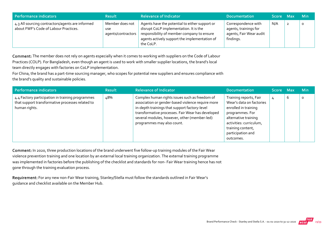| Performance indicators                                                                    | <b>Result</b>                                | <b>Relevance of Indicator</b>                                                                                                                                                                        | <b>Documentation</b>                                                                 | Score Max |                | <b>Min</b> |
|-------------------------------------------------------------------------------------------|----------------------------------------------|------------------------------------------------------------------------------------------------------------------------------------------------------------------------------------------------------|--------------------------------------------------------------------------------------|-----------|----------------|------------|
| 4.3 All sourcing contractors/agents are informed<br>about FWF's Code of Labour Practices. | Member does not<br>use<br>agents/contractors | Agents have the potential to either support or<br>disrupt CoLP implementation. It is the<br>responsibility of member company to ensure<br>agents actively support the implementation of<br>the CoLP. | Correspondence with<br>agents, trainings for<br>agents, Fair Wear audit<br>findings. | N/A       | $\overline{2}$ | 0          |

Comment: The member does not rely on agents especially when it comes to working with suppliers on the Code of Labour Practices (COLP). For Bangladesh, even though an agent is used to work with smaller supplier locations, the brand's local team directly engages with factories on CoLP implementation.

For China, the brand has a part-time sourcing manager, who scopes for potential new suppliers and ensures compliance with the brand's quality and sustainable policies.

| Performance indicators                                                                                                | <b>Result</b> | <b>Relevance of Indicator</b>                                                                                                                                                                                                                                                           | <b>Documentation</b>                                                                                                                                                                                    | Score Max |   | <b>Min</b> |
|-----------------------------------------------------------------------------------------------------------------------|---------------|-----------------------------------------------------------------------------------------------------------------------------------------------------------------------------------------------------------------------------------------------------------------------------------------|---------------------------------------------------------------------------------------------------------------------------------------------------------------------------------------------------------|-----------|---|------------|
| 4.4 Factory participation in training programmes<br>that support transformative processes related to<br>human rights. | 48%           | Complex human rights issues such as freedom of<br>association or gender-based violence require more<br>in-depth trainings that support factory-level<br>transformative processes. Fair Wear has developed<br>several modules, however, other (member-led)<br>programmes may also count. | Training reports, Fair<br>Wear's data on factories<br>enrolled in training<br>programmes. For<br>alternative training<br>activities: curriculum,<br>training content,<br>participation and<br>outcomes. | 4         | 6 | $\Omega$   |

Comment: In 2020, three production locations of the brand underwent five follow-up training modules of the Fair Wear violence prevention training and one location by an external local training organization. The external training programme was implemented in factories before the publishing of the checklist and standards for non‐ Fair Wear training hence has not gone through the training evaluation process.

Requirement: For any new non-Fair Wear training, Stanley/Stella must follow the standards outlined in Fair Wear's guidance and checklist available on the Member Hub.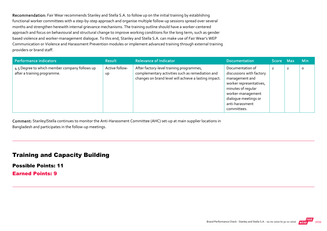Recommendation: Fair Wear recommends Stanley and Stella S.A. to follow up on the initial training by establishing functional worker committees with a step‐by‐step approach and organise multiple follow‐up sessions spread over several months and strengthen herewith internal grievance mechanisms. The training outline should have a worker‐centered approach and focus on behavioural and structural change to improve working conditions for the long term, such as gender based violence and worker‐management dialogue. To this end, Stanley and Stella S.A. can make use of Fair Wear's WEP Communication or Violence and Harassment Prevention modules or implement advanced training through external training providers or brand staff.

| <b>Performance indicators</b>                                                | <b>Result</b>               | <b>Relevance of Indicator</b>                                                                                                                         | <b>Documentation</b>                                                                                                                                                                           | Score Max      | <b>Min</b> |
|------------------------------------------------------------------------------|-----------------------------|-------------------------------------------------------------------------------------------------------------------------------------------------------|------------------------------------------------------------------------------------------------------------------------------------------------------------------------------------------------|----------------|------------|
| 4.5 Degree to which member company follows up<br>after a training programme. | Active follow-<br><b>up</b> | After factory-level training programmes,<br>complementary activities such as remediation and<br>changes on brand level will achieve a lasting impact. | Documentation of<br>discussions with factory<br>management and<br>worker representatives,<br>minutes of regular<br>worker-management<br>dialogue meetings or<br>anti-harassment<br>committees. | $\overline{2}$ | $\circ$    |

Comment: Stanley/Stella continues to monitor the Anti‐Harassment Committee (AHC) set‐up at main supplier locations in Bangladesh and participates in the follow‐up meetings.

#### Training and Capacity Building

Possible Points: 11 Earned Points: 9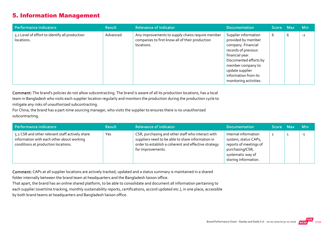#### 5. Information Management

| Performance indicators                                       | <b>Result</b> | <b>Relevance of Indicator</b>                                                                                     | <b>Documentation</b>                                                                                                                                                                                                          | Score Max |   | Min  |
|--------------------------------------------------------------|---------------|-------------------------------------------------------------------------------------------------------------------|-------------------------------------------------------------------------------------------------------------------------------------------------------------------------------------------------------------------------------|-----------|---|------|
| 5.1 Level of effort to identify all production<br>locations. | Advanced      | Any improvements to supply chains require member<br>companies to first know all of their production<br>locations. | Supplier information<br>provided by member<br>company. Financial<br>records of previous<br>financial year.<br>Documented efforts by<br>member company to<br>update supplier<br>information from its<br>monitoring activities. | 6         | 6 | $-2$ |

Comment: The brand's policies do not allow subcontracting. The brand is aware of all its production locations, has a local team in Bangladesh who visits each supplier location regularly and monitors the production during the production cycle to mitigate any risks of unauthorized subcontracting.

For China, the brand has a part‐time sourcing manager, who visits the supplier to ensures there is no unauthorized subcontracting.

| Performance indicators                                                                                                              | <b>Result</b> | <b>Relevance of Indicator</b>                                                                                                                                                       | <b>Documentation</b>                                                                                                                   | Score Max | <b>Min</b> |
|-------------------------------------------------------------------------------------------------------------------------------------|---------------|-------------------------------------------------------------------------------------------------------------------------------------------------------------------------------------|----------------------------------------------------------------------------------------------------------------------------------------|-----------|------------|
| 5.2 CSR and other relevant staff actively share<br>information with each other about working<br>conditions at production locations. | Yes           | CSR, purchasing and other staff who interact with<br>suppliers need to be able to share information in<br>order to establish a coherent and effective strategy<br>for improvements. | Internal information<br>system; status CAPs,<br>reports of meetings of<br>purchasing/CSR;<br>systematic way of<br>storing information. |           | $-1$       |

Comment: CAPs at all supplier locations are actively tracked, updated and a status summary is maintained in a shared

folder internally between the brand team at headquarters and the Bangladesh liaison office.

That apart, the brand has an online shared platform, to be able to consolidate and document all information pertaining to each supplier (overtime tracking, monthly sustainability reports, certifications, accord updated etc.), in one place, accessible by both brand teams at headquarters and Bangladesh liaison office.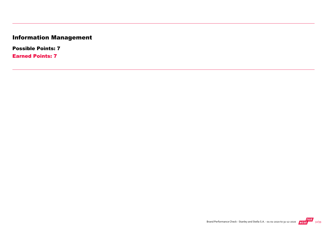# Information Management

Possible Points: 7

Earned Points: 7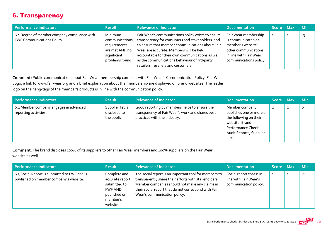### 6. Transparency

| Performance indicators                                                            | <b>Result</b>                                                                                | <b>Relevance of Indicator</b>                                                                                                                                                                                                                                                                                                                   | <b>Documentation</b>                                                                                                                        | Score Max      | <b>Min</b> |
|-----------------------------------------------------------------------------------|----------------------------------------------------------------------------------------------|-------------------------------------------------------------------------------------------------------------------------------------------------------------------------------------------------------------------------------------------------------------------------------------------------------------------------------------------------|---------------------------------------------------------------------------------------------------------------------------------------------|----------------|------------|
| 6.1 Degree of member company compliance with<br><b>FWF Communications Policy.</b> | Minimum<br>communications<br>requirements<br>are met AND no<br>significant<br>problems found | Fair Wear's communications policy exists to ensure<br>transparency for consumers and stakeholders, and<br>to ensure that member communications about Fair<br>Wear are accurate. Members will be held<br>accountable for their own communications as well<br>as the communications behaviour of 3rd-party<br>retailers, resellers and customers. | Fair Wear membership<br>is communicated on<br>member's website;<br>other communications<br>in line with Fair Wear<br>communications policy. | $\overline{2}$ | -3         |

Comment: Public communication about Fair Wear membership complies with Fair Wear's Communication Policy. Fair Wear Logo, a link to www.fairwear.org and a brief explanation about the membership are displayed on brand websites. The leader logo on the hang-tags of the member's products is in line with the communication policy.

| Performance indicators                                          | <b>Result</b>                                   | <b>Relevance of Indicator</b>                                                                                                     | <b>Documentation</b>                                                                                                                             | Score Maxi |                | <b>Min</b> |
|-----------------------------------------------------------------|-------------------------------------------------|-----------------------------------------------------------------------------------------------------------------------------------|--------------------------------------------------------------------------------------------------------------------------------------------------|------------|----------------|------------|
| 6.2 Member company engages in advanced<br>reporting activities. | Supplier list is<br>disclosed to<br>the public. | Good reporting by members helps to ensure the<br>transparency of Fair Wear's work and shares best<br>practices with the industry. | Member company<br>publishes one or more of<br>the following on their<br>website: Brand<br>Performance Check,<br>Audit Reports, Supplier<br>List. |            | $\overline{2}$ | $\Omega$   |

Comment: The brand discloses 100% of its suppliers to other Fair Wear members and 100% suppliers on the Fair Wear website as well.

| Performance indicators                                                                 | <b>Result</b>                                                                                      | <b>Relevance of Indicator</b>                                                                                                                                                                                                                           | <b>Documentation</b>                                                       | <b>Score</b>   | <b>Max</b> | <b>Min</b> |
|----------------------------------------------------------------------------------------|----------------------------------------------------------------------------------------------------|---------------------------------------------------------------------------------------------------------------------------------------------------------------------------------------------------------------------------------------------------------|----------------------------------------------------------------------------|----------------|------------|------------|
| 6.3 Social Report is submitted to FWF and is<br>published on member company's website. | Complete and<br>accurate report<br>submitted to<br>FWF AND<br>published on<br>member's<br>website. | The social report is an important tool for members to<br>transparently share their efforts with stakeholders.<br>Member companies should not make any claims in<br>their social report that do not correspond with Fair<br>Wear's communication policy. | Social report that is in<br>line with Fair Wear's<br>communication policy. | $\overline{2}$ |            | $-1$       |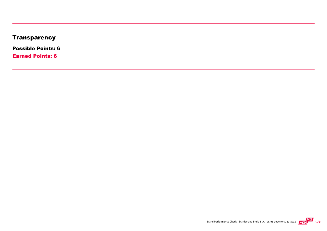# **Transparency**

Possible Points: 6

Earned Points: 6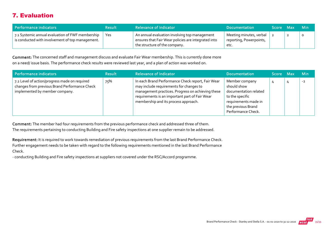# 7. Evaluation

| Performance indicators                                                                               | <b>Result</b> | <b>Relevance of Indicator</b>                                                                                                         | <b>Documentation</b>                                       | Score Max |   | – Min   |
|------------------------------------------------------------------------------------------------------|---------------|---------------------------------------------------------------------------------------------------------------------------------------|------------------------------------------------------------|-----------|---|---------|
| 7.1 Systemic annual evaluation of FWF membership<br>is conducted with involvement of top management. | Yes           | An annual evaluation involving top management<br>ensures that Fair Wear policies are integrated into<br>the structure of the company. | Meeting minutes, verbal<br>reporting, Powerpoints,<br>etc. |           | ◢ | $\circ$ |

Comment: The concerned staff and management discuss and evaluate Fair Wear membership. This is currently done more on a need/ issue basis. The performance check results were reviewed last year, and a plan of action was worked on.

| Performance indicators                                                                                                           | <b>Result</b> | <b>Relevance of Indicator</b>                                                                                                                                                                                                               | <b>Documentation</b>                                                                                                                          | Score Max | <b>Min</b> |
|----------------------------------------------------------------------------------------------------------------------------------|---------------|---------------------------------------------------------------------------------------------------------------------------------------------------------------------------------------------------------------------------------------------|-----------------------------------------------------------------------------------------------------------------------------------------------|-----------|------------|
| 7.2 Level of action/progress made on required<br>changes from previous Brand Performance Check<br>implemented by member company. | 75%           | In each Brand Performance Check report, Fair Wear<br>may include requirements for changes to<br>management practices. Progress on achieving these<br>requirements is an important part of Fair Wear<br>membership and its process approach. | Member company<br>should show<br>documentation related<br>to the specific<br>requirements made in<br>the previous Brand<br>Performance Check. |           | $-2$       |

Comment: The member had four requirements from the previous performance check and addressed three of them. The requirements pertaining to conducting Building and Fire safety inspections at one supplier remain to be addressed.

Requirement: It is required to work towards remediation of previous requirements from the last Brand Performance Check. Further engagement needs to be taken with regard to the following requirements mentioned in the last Brand Performance Check.

‐ conducting Building and Fire safety inspections at suppliers not covered under the RSC/Accord programme.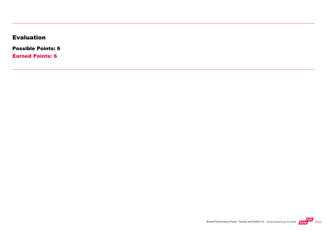### Evaluation

Possible Points: 6

Earned Points: 6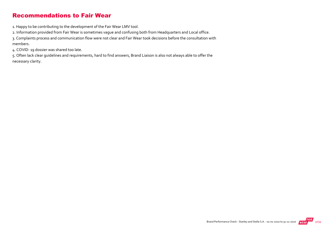#### Recommendations to Fair Wear

1. Happy to be contributing to the development of the Fair Wear LMV tool.

2. Information provided from Fair Wear is sometimes vague and confusing both from Headquarters and Local office.

3. Complaints process and communication flow were not clear and Fair Wear took decisions before the consultation with members.

4. COVID‐ 19 dossier was shared too late.

5. Often lack clear guidelines and requirements, hard to find answers, Brand Liaison is also not always able to offer the necessary clarity.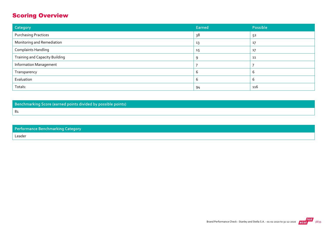# Scoring Overview

| Category                              | Earned | Possible |
|---------------------------------------|--------|----------|
| <b>Purchasing Practices</b>           | 38     | 52       |
| Monitoring and Remediation            | 13     | 17       |
| <b>Complaints Handling</b>            | 15     | 17       |
| <b>Training and Capacity Building</b> | q      | 11       |
| <b>Information Management</b>         |        |          |
| Transparency                          |        | b        |
| Evaluation                            |        | ь        |
| Totals:                               | 94     | 116      |

Benchmarking Score (earned points divided by possible points)

81

| <b>Performance Benchmarking Category</b> |
|------------------------------------------|
|                                          |

Leader